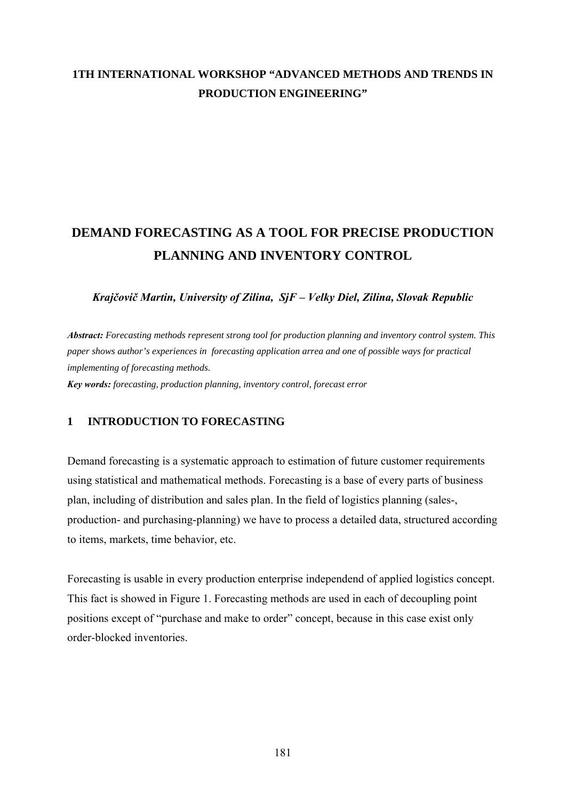# **1TH INTERNATIONAL WORKSHOP "ADVANCED METHODS AND TRENDS IN PRODUCTION ENGINEERING"**

# **DEMAND FORECASTING AS A TOOL FOR PRECISE PRODUCTION PLANNING AND INVENTORY CONTROL**

*Krajčovič Martin, University of Zilina, SjF – Velky Diel, Zilina, Slovak Republic* 

*Abstract: Forecasting methods represent strong tool for production planning and inventory control system. This paper shows author's experiences in forecasting application arrea and one of possible ways for practical implementing of forecasting methods. Key words: forecasting, production planning, inventory control, forecast error* 

#### **1 INTRODUCTION TO FORECASTING**

Demand forecasting is a systematic approach to estimation of future customer requirements using statistical and mathematical methods. Forecasting is a base of every parts of business plan, including of distribution and sales plan. In the field of logistics planning (sales-, production- and purchasing-planning) we have to process a detailed data, structured according to items, markets, time behavior, etc.

Forecasting is usable in every production enterprise independend of applied logistics concept. This fact is showed in Figure 1. Forecasting methods are used in each of decoupling point positions except of "purchase and make to order" concept, because in this case exist only order-blocked inventories.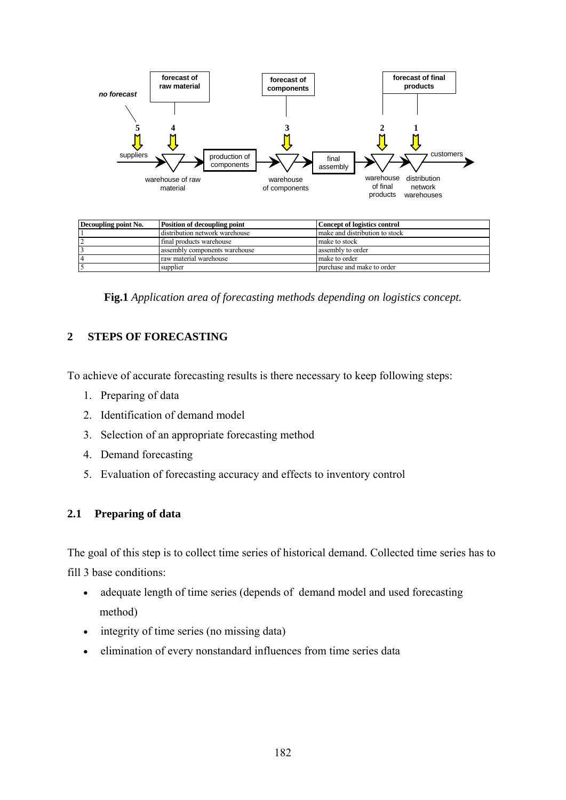

| Decoupling point No. | <b>Position of decoupling point</b> | Concept of logistics control   |
|----------------------|-------------------------------------|--------------------------------|
|                      | distribution network warehouse      | make and distribution to stock |
|                      | final products warehouse            | make to stock                  |
|                      | assembly components warehouse       | assembly to order              |
|                      | raw material warehouse              | l make to order                |
|                      | supplier                            | purchase and make to order     |

**Fig.1** *Application area of forecasting methods depending on logistics concept.*

## **2 STEPS OF FORECASTING**

To achieve of accurate forecasting results is there necessary to keep following steps:

- 1. Preparing of data
- 2. Identification of demand model
- 3. Selection of an appropriate forecasting method
- 4. Demand forecasting
- 5. Evaluation of forecasting accuracy and effects to inventory control

#### **2.1 Preparing of data**

The goal of this step is to collect time series of historical demand. Collected time series has to fill 3 base conditions:

- adequate length of time series (depends of demand model and used forecasting method)
- integrity of time series (no missing data)
- elimination of every nonstandard influences from time series data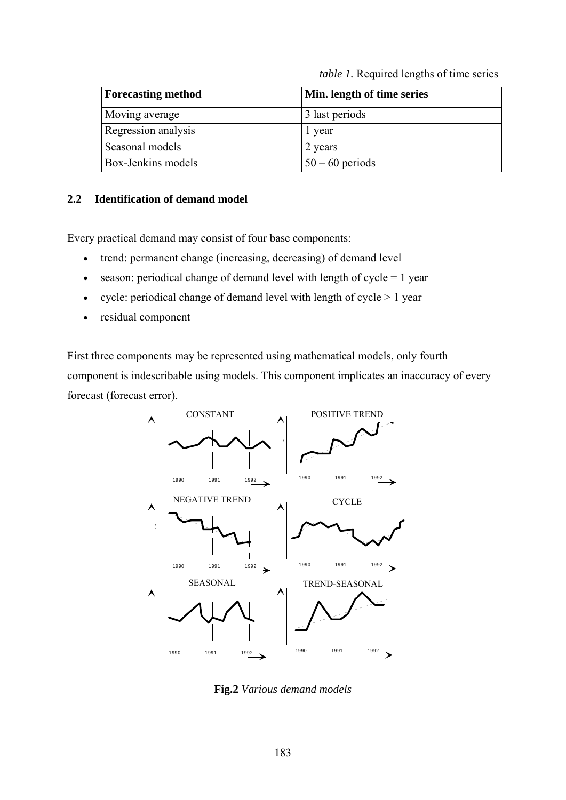*table 1.* Required lengths of time series

| <b>Forecasting method</b> | Min. length of time series |
|---------------------------|----------------------------|
| Moving average            | 3 last periods             |
| Regression analysis       | 1 year                     |
| Seasonal models           | 2 years                    |
| Box-Jenkins models        | $50 - 60$ periods          |

#### **2.2 Identification of demand model**

Every practical demand may consist of four base components:

- trend: permanent change (increasing, decreasing) of demand level
- season: periodical change of demand level with length of cycle  $= 1$  year
- cycle: periodical change of demand level with length of cycle  $> 1$  year
- residual component

First three components may be represented using mathematical models, only fourth component is indescribable using models. This component implicates an inaccuracy of every forecast (forecast error).



**Fig.2** *Various demand models*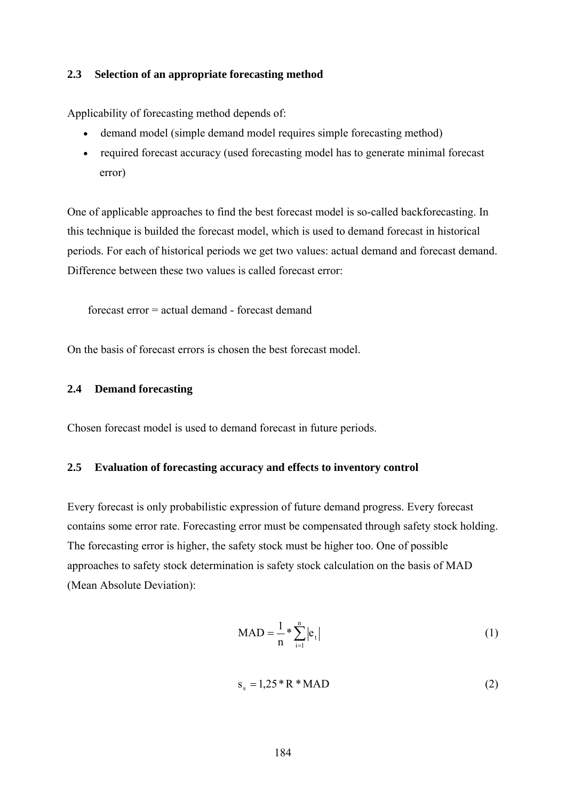#### **2.3 Selection of an appropriate forecasting method**

Applicability of forecasting method depends of:

- demand model (simple demand model requires simple forecasting method)
- required forecast accuracy (used forecasting model has to generate minimal forecast error)

One of applicable approaches to find the best forecast model is so-called backforecasting. In this technique is builded the forecast model, which is used to demand forecast in historical periods. For each of historical periods we get two values: actual demand and forecast demand. Difference between these two values is called forecast error:

forecast error = actual demand - forecast demand

On the basis of forecast errors is chosen the best forecast model.

#### **2.4 Demand forecasting**

Chosen forecast model is used to demand forecast in future periods.

#### **2.5 Evaluation of forecasting accuracy and effects to inventory control**

Every forecast is only probabilistic expression of future demand progress. Every forecast contains some error rate. Forecasting error must be compensated through safety stock holding. The forecasting error is higher, the safety stock must be higher too. One of possible approaches to safety stock determination is safety stock calculation on the basis of MAD (Mean Absolute Deviation):

$$
MAD = \frac{1}{n} * \sum_{i=1}^{n} |e_i|
$$
 (1)

$$
s_s = 1,25 \times R \times MAD \tag{2}
$$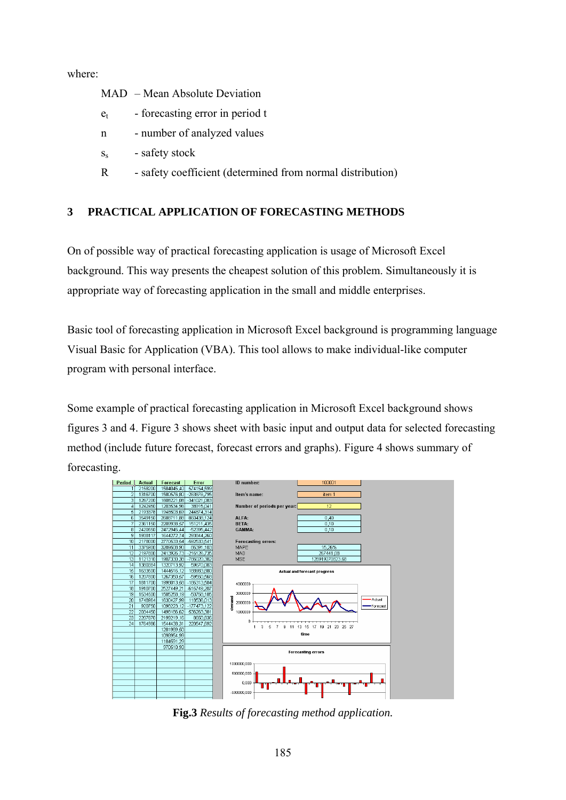where:

- MAD Mean Absolute Deviation
- $e_t$  forecasting error in period t
- n number of analyzed values
- $s_s$  safety stock
- R safety coefficient (determined from normal distribution)

#### **3 PRACTICAL APPLICATION OF FORECASTING METHODS**

On of possible way of practical forecasting application is usage of Microsoft Excel background. This way presents the cheapest solution of this problem. Simultaneously it is appropriate way of forecasting application in the small and middle enterprises.

Basic tool of forecasting application in Microsoft Excel background is programming language Visual Basic for Application (VBA). This tool allows to make individual-like computer program with personal interface.

Some example of practical forecasting application in Microsoft Excel background shows figures 3 and 4. Figure 3 shows sheet with basic input and output data for selected forecasting method (include future forecast, forecast errors and graphs). Figure 4 shows summary of forecasting.



**Fig.3** *Results of forecasting method application.*